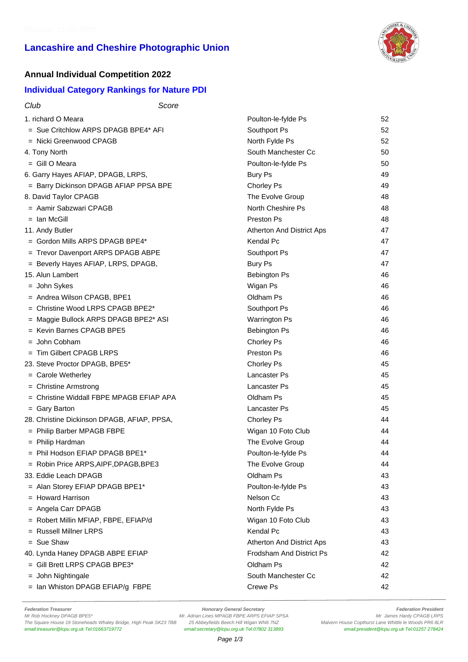# **Lancashire and Cheshire Photographic Union**



### **Annual Individual Competition 2022**

#### **Individual Category Rankings for Nature PDI**

| Club                                        | Score |                           |    |
|---------------------------------------------|-------|---------------------------|----|
| 1. richard O Meara                          |       | Poulton-le-fylde Ps       | 52 |
| = Sue Critchlow ARPS DPAGB BPE4* AFI        |       | Southport Ps              | 52 |
| $=$ Nicki Greenwood CPAGB                   |       | North Fylde Ps            | 52 |
| 4. Tony North                               |       | South Manchester Cc       | 50 |
| $=$ Gill O Meara                            |       | Poulton-le-fylde Ps       | 50 |
| 6. Garry Hayes AFIAP, DPAGB, LRPS,          |       | <b>Bury Ps</b>            | 49 |
| = Barry Dickinson DPAGB AFIAP PPSA BPE      |       | Chorley Ps                | 49 |
| 8. David Taylor CPAGB                       |       | The Evolve Group          | 48 |
| = Aamir Sabzwari CPAGB                      |       | North Cheshire Ps         | 48 |
| $=$ Ian McGill                              |       | Preston Ps                | 48 |
| 11. Andy Butler                             |       | Atherton And District Aps | 47 |
| $=$ Gordon Mills ARPS DPAGB BPE4*           |       | Kendal Pc                 | 47 |
| = Trevor Davenport ARPS DPAGB ABPE          |       | Southport Ps              | 47 |
| = Beverly Hayes AFIAP, LRPS, DPAGB,         |       | Bury Ps                   | 47 |
| 15. Alun Lambert                            |       | <b>Bebington Ps</b>       | 46 |
| $=$ John Sykes                              |       | Wigan Ps                  | 46 |
| = Andrea Wilson CPAGB, BPE1                 |       | Oldham Ps                 | 46 |
| $=$ Christine Wood LRPS CPAGB BPE2*         |       | Southport Ps              | 46 |
| = Maggie Bullock ARPS DPAGB BPE2* ASI       |       | <b>Warrington Ps</b>      | 46 |
| = Kevin Barnes CPAGB BPE5                   |       | Bebington Ps              | 46 |
| $=$ John Cobham                             |       | Chorley Ps                | 46 |
| = Tim Gilbert CPAGB LRPS                    |       | Preston Ps                | 46 |
| 23. Steve Proctor DPAGB, BPE5*              |       | Chorley Ps                | 45 |
| = Carole Wetherley                          |       | <b>Lancaster Ps</b>       | 45 |
| = Christine Armstrong                       |       | <b>Lancaster Ps</b>       | 45 |
| = Christine Widdall FBPE MPAGB EFIAP APA    |       | Oldham Ps                 | 45 |
| = Gary Barton                               |       | Lancaster Ps              | 45 |
| 28. Christine Dickinson DPAGB, AFIAP, PPSA, |       | Chorley Ps                | 44 |
| = Philip Barber MPAGB FBPE                  |       | Wigan 10 Foto Club        | 44 |
| = Philip Hardman                            |       | The Evolve Group          | 44 |
| $=$ Phil Hodson EFIAP DPAGB BPE1*           |       | Poulton-le-fvlde Ps       | 44 |
| = Robin Price ARPS, AIPF, DPAGB, BPE3       |       | The Evolve Group          | 44 |
| 33. Eddie Leach DPAGB                       |       | Oldham Ps                 | 43 |
| = Alan Storey EFIAP DPAGB BPE1*             |       | Poulton-le-fylde Ps       | 43 |
| = Howard Harrison                           |       | Nelson Cc                 | 43 |
| $=$ Angela Carr DPAGB                       |       | North Fylde Ps            | 43 |
| = Robert Millin MFIAP, FBPE, EFIAP/d        |       | Wigan 10 Foto Club        | 43 |
| = Russell Millner LRPS                      |       | Kendal Pc                 | 43 |
| $=$ Sue Shaw                                |       | Atherton And District Aps | 43 |
| 40. Lynda Haney DPAGB ABPE EFIAP            |       | Frodsham And District Ps  | 42 |
| $=$ Gill Brett LRPS CPAGB BPE3*             |       | Oldham Ps                 | 42 |
| = John Nightingale                          |       | South Manchester Cc       | 42 |
| = Ian Whiston DPAGB EFIAP/g FBPE            |       | Crewe Ps                  | 42 |
|                                             |       |                           |    |

Federation Treasurer **Federation President**<br>Mr Adrian Lines MPAGB FBPE ARPS EFIAP SPSA **For any CHACK CHACK CHACK CHACK**<br>Mr James Hardy CPAGB LRPS M. Adrian Lines MPAGB FBPE ARPS EFIAP SPSA The Square House 19 Stoneheads Whaley Bridge, High Peak SK23 7BB 25 Abbeyfields Beech Hill Wigan WN6 7NZ Malvern House Copthurst Lane Whittle le Woods PR6 8LR<br>email:treasurer@Icpu.org.uk Tel:01663719772 email:secretary@Icp

email:secretary@lcpu.org.uk Tel:07802 313893

Mr. Adrian Lines MPAGB FBPE ARPS EFIAP SPSA Mr. Adrian Lines MPAGB ERPS<br>25 Abbeyfields Beech Hill Wigan WN6 7NZ Malvern House Copthurst Lane Whittle le Woods PR6 8LR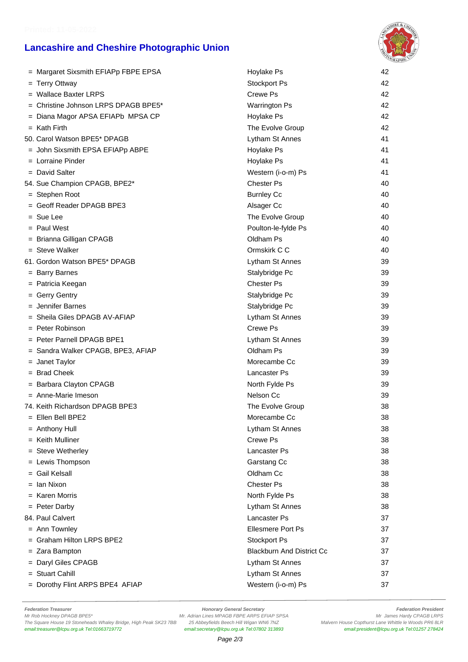## **Lancashire and Cheshire Photographic Union**



| = Margaret Sixsmith EFIAPp FBPE EPSA | Hoylake Ps                       | 42 |
|--------------------------------------|----------------------------------|----|
| = Terry Ottway                       | Stockport Ps                     | 42 |
| $=$ Wallace Baxter LRPS              | Crewe Ps                         | 42 |
| = Christine Johnson LRPS DPAGB BPE5* | <b>Warrington Ps</b>             | 42 |
| = Diana Magor APSA EFIAPb MPSA CP    | Hoylake Ps                       | 42 |
| $=$ Kath Firth                       | The Evolve Group                 | 42 |
| 50. Carol Watson BPE5* DPAGB         | Lytham St Annes                  | 41 |
| = John Sixsmith EPSA EFIAPp ABPE     | Hoylake Ps                       | 41 |
| $=$ Lorraine Pinder                  | Hoylake Ps                       | 41 |
| $=$ David Salter                     | Western (i-o-m) Ps               | 41 |
| 54. Sue Champion CPAGB, BPE2*        | <b>Chester Ps</b>                | 40 |
| = Stephen Root                       | <b>Burnley Cc</b>                | 40 |
| = Geoff Reader DPAGB BPE3            | Alsager Cc                       | 40 |
| = Sue Lee                            | The Evolve Group                 | 40 |
| $=$ Paul West                        | Poulton-le-fylde Ps              | 40 |
| = Brianna Gilligan CPAGB             | Oldham Ps                        | 40 |
| $=$ Steve Walker                     | Ormskirk C C                     | 40 |
| 61. Gordon Watson BPE5* DPAGB        | Lytham St Annes                  | 39 |
| = Barry Barnes                       | Stalybridge Pc                   | 39 |
| = Patricia Keegan                    | <b>Chester Ps</b>                | 39 |
| = Gerry Gentry                       | Stalybridge Pc                   | 39 |
| $=$ Jennifer Barnes                  | Stalybridge Pc                   | 39 |
| = Sheila Giles DPAGB AV-AFIAP        | Lytham St Annes                  | 39 |
| $=$ Peter Robinson                   | Crewe Ps                         | 39 |
| $=$ Peter Parnell DPAGB BPE1         | Lytham St Annes                  | 39 |
| = Sandra Walker CPAGB, BPE3, AFIAP   | Oldham Ps                        | 39 |
| = Janet Taylor                       | Morecambe Cc                     | 39 |
| $=$ Brad Cheek                       | Lancaster Ps                     | 39 |
| = Barbara Clayton CPAGB              | North Fylde Ps                   | 39 |
| $=$ Anne-Marie Imeson                | Nelson Cc                        | 39 |
| 74. Keith Richardson DPAGB BPE3      | The Evolve Group                 | 38 |
| = Ellen Bell BPE2                    | Morecambe Cc                     | 38 |
| $=$ Anthony Hull                     | Lytham St Annes                  | 38 |
| $=$ Keith Mulliner                   | Crewe Ps                         | 38 |
| = Steve Wetherley                    | <b>Lancaster Ps</b>              | 38 |
| = Lewis Thompson                     | Garstang Cc                      | 38 |
| = Gail Kelsall                       | Oldham Cc                        | 38 |
| = Ian Nixon                          | <b>Chester Ps</b>                | 38 |
| $=$ Karen Morris                     | North Fylde Ps                   | 38 |
| = Peter Darby                        | Lytham St Annes                  | 38 |
| 84. Paul Calvert                     | Lancaster Ps                     | 37 |
| $=$ Ann Townley                      | Ellesmere Port Ps                | 37 |
| = Graham Hilton LRPS BPE2            | Stockport Ps                     | 37 |
| $=$ Zara Bampton                     | <b>Blackburn And District Cc</b> | 37 |
| = Daryl Giles CPAGB                  | Lytham St Annes                  | 37 |
| = Stuart Cahill                      | Lytham St Annes                  | 37 |
| = Dorothy Flint ARPS BPE4 AFIAP      | Western (i-o-m) Ps               | 37 |

Federation Treasurer **Federation President**<br>Mr Rob Hockney DPAGB BPE5\* **Honorary General Secretary Honorary General Secretary Manus Adminition President**<br>Mr Rob Hockney DPAGB BPE5\* **Mr Adminition Adminition Adminition** The Square House 19 Stoneheads Whaley Bridge, High Peak SK23 7BB 25 Abbeyfields Beech Hill Wigan WN6 7NZ Malvern House Copthurst Lane Whittle le Woods PR6 8LR<br>email:treasurer@Icpu.org.uk Tel:01663719772 email:secretary@Icp

email:secretary@lcpu.org.uk Tel:07802 313893

Mr. Adrian Lines MPAGB FBPE ARPS EFIAP SPSA Material Development Constant Mr. James Hardy CPAGB LRPS<br>25 Abbeyfields Beech Hill Wigan WN6 7NZ Malvern House Copthurst Lane Whittle le Woods PR6 8LR